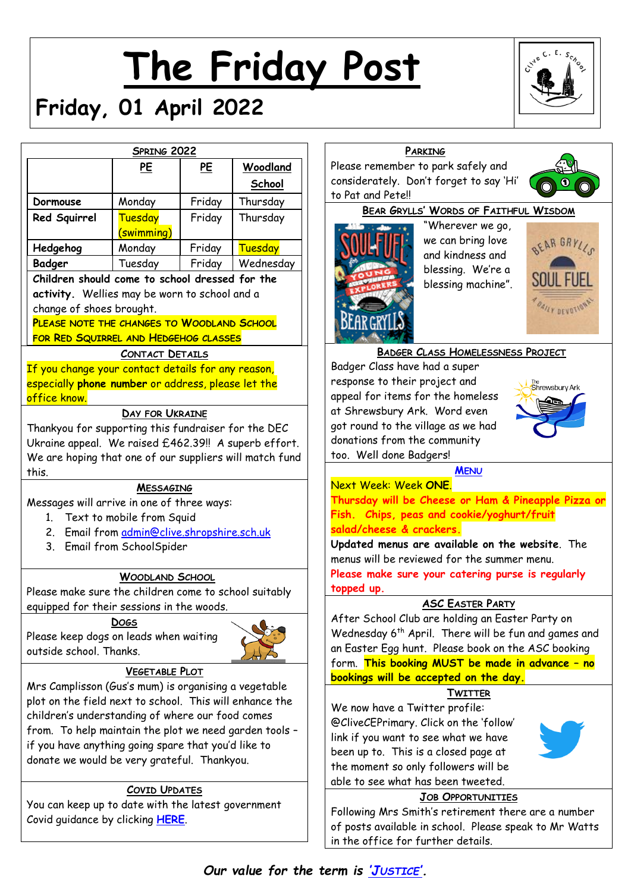# **The Friday Post**



# **Friday, 01 April 2022**

|                                                                        | <b>SPRING 2022</b>     |           |                |                   |
|------------------------------------------------------------------------|------------------------|-----------|----------------|-------------------|
|                                                                        | <u>PE</u>              | <u>PE</u> | Woodland       | Pleas             |
|                                                                        |                        |           | School         | cons              |
| Dormouse                                                               | Monday                 | Friday    | Thursday       | to Po             |
| Red Squirrel                                                           | Tuesday                | Friday    | Thursday       |                   |
|                                                                        | (swimming)             |           |                |                   |
| Hedgehog                                                               | Monday                 | Friday    | <b>Tuesday</b> |                   |
| <b>Badger</b>                                                          | Tuesday                | Friday    | Wednesday      |                   |
| Children should come to school dressed for the                         |                        |           |                |                   |
| activity. Wellies may be worn to school and a                          |                        |           |                |                   |
| change of shoes brought.<br>PLEASE NOTE THE CHANGES TO WOODLAND SCHOOL |                        |           |                |                   |
| FOR RED SQUIRREL AND HEDGEHOG CLASSES                                  |                        |           |                |                   |
|                                                                        | <b>CONTACT DETAILS</b> |           |                |                   |
| If you change your contact details for any reason,                     |                        |           |                |                   |
| resp<br>especially phone number or address, please let the             |                        |           |                |                   |
| office know.                                                           |                        |           |                | appe              |
| at SI<br>DAY FOR UKRAINE                                               |                        |           |                |                   |
| got r<br>Thankyou for supporting this fundraiser for the DEC           |                        |           |                |                   |
| dona<br>Ukraine appeal. We raised £462.39!! A superb effort.<br>too.   |                        |           |                |                   |
| We are hoping that one of our suppliers will match fund<br>this.       |                        |           |                |                   |
| Nex <sup>-</sup><br><b>MESSAGING</b>                                   |                        |           |                |                   |
| Messages will arrive in one of three ways:                             |                        |           |                | Thur              |
| 1. Text to mobile from Squid                                           |                        |           |                | Fish.             |
| Email from admin@clive.shropshire.sch.uk<br>2.                         |                        |           |                | <mark>sala</mark> |
| Updo<br>3. Email from SchoolSpider                                     |                        |           |                |                   |
|                                                                        |                        |           |                | menu              |
| <b>WOODLAND SCHOOL</b>                                                 |                        |           |                | Plea:<br>topp     |
| Please make sure the children come to school suitably                  |                        |           |                |                   |
| equipped for their sessions in the woods.<br>Afte<br><b>DOGS</b>       |                        |           |                |                   |
| Please keep dogs on leads when waiting                                 |                        |           |                | Wed               |
| an Ei<br>outside school. Thanks.                                       |                        |           |                |                   |
| <b>VEGETABLE PLOT</b>                                                  |                        |           |                | forn              |
| Mrs Camplisson (Gus's mum) is organising a vegetable                   |                        |           |                | <u>book</u>       |
| plot on the field next to school. This will enhance the                |                        |           |                |                   |
| children's understanding of where our food comes                       |                        |           |                | We r              |
| from. To help maintain the plot we need garden tools -                 |                        |           |                | @Cli<br>link i    |
| if you have anything going spare that you'd like to                    |                        |           |                | been              |
| donate we would be very grateful. Thankyou.                            |                        |           |                | the r             |
|                                                                        |                        |           |                | able              |
| <b>COVID UPDATES</b>                                                   |                        |           |                |                   |
| You can keep up to date with the latest government                     |                        |           |                | Follo             |
| Covid guidance by clicking <b>HERE</b> .                               |                        |           |                | of po             |

# **PARKING**

se remember to park safely and iderately. Don't forget to say 'Hi' at and Pete!!





"Wherever we go, we can bring love and kindness and blessing. We're a blessing machine".



# **BADGER CLASS HOMELESSNESS PROJECT**

ger Class have had a super onse to their project and cal for items for the homeless hrewsbury Ark. Word even ound to the village as we had itions from the community Well done Badgers!



#### **M[ENU](http://www.clivecofeprimaryschool.co.uk/page/school-meals/26275)**

Next Week: Week **ONE**. **Thursday will be Cheese or Ham & Pineapple Pizza or Fish. Chips, peas and cookie/yoghurt/fruit salad/cheese & crackers.**

**Updated menus are available on the website**. The us will be reviewed for the summer menu. **Please make sure your catering purse is regularly ed up.** 

#### **ASC EASTER PARTY**

er School Club are holding an Easter Party on Inesday 6<sup>th</sup> April. There will be fun and games and aster Egg hunt. Please book on the ASC booking form. **This booking MUST be made in advance – no bookings will be accepted on the day.**

# **TWITTER**

now have a Twitter profile: iveCEPrimary. Click on the 'follow' if you want to see what we have up to. This is a closed page at moment so only followers will be to see what has been tweeted.



#### **JOB OPPORTUNITIES**

wing Mrs Smith's retirement there are a number osts available in school. Please speak to Mr Watts in the office for further details.

*Our value for the term is 'J[USTICE](http://www.clivecofeprimaryschool.co.uk/serve_file/5298783)'.*